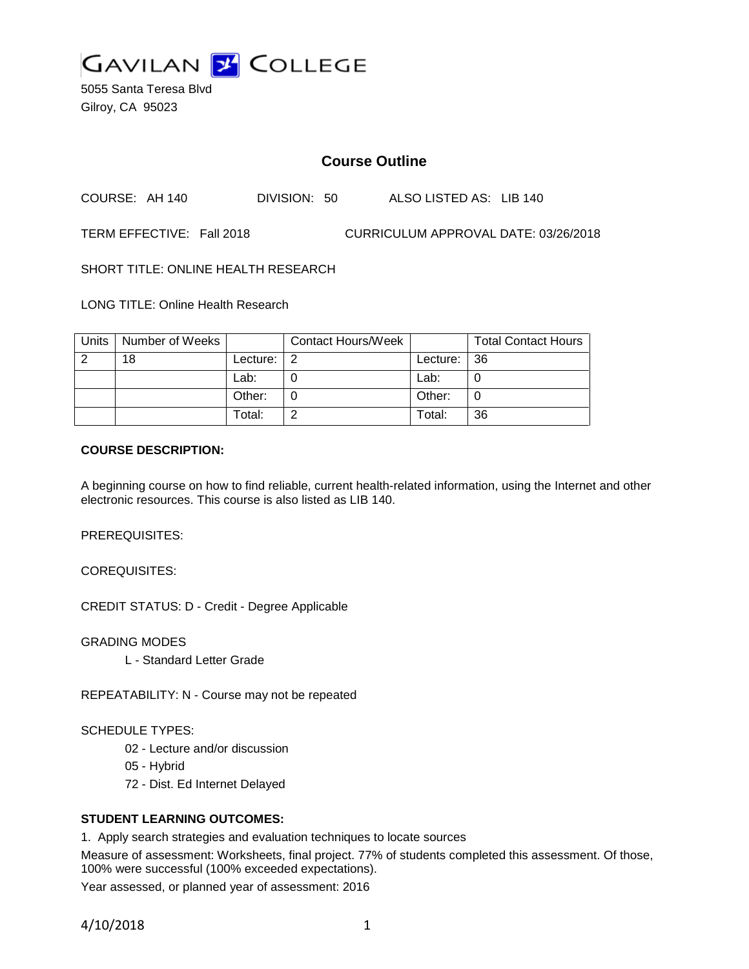

5055 Santa Teresa Blvd Gilroy, CA 95023

# **Course Outline**

COURSE: AH 140 DIVISION: 50 ALSO LISTED AS: LIB 140

TERM EFFECTIVE: Fall 2018 CURRICULUM APPROVAL DATE: 03/26/2018

SHORT TITLE: ONLINE HEALTH RESEARCH

LONG TITLE: Online Health Research

| Units | Number of Weeks |            | <b>Contact Hours/Week</b> |          | <b>Total Contact Hours</b> |
|-------|-----------------|------------|---------------------------|----------|----------------------------|
|       | 18              | Lecture: . |                           | Lecture: | $\overline{36}$            |
|       |                 | Lab:       |                           | Lab:     |                            |
|       |                 | Other:     |                           | Other:   |                            |
|       |                 | Total:     |                           | Total:   | 36                         |

#### **COURSE DESCRIPTION:**

A beginning course on how to find reliable, current health-related information, using the Internet and other electronic resources. This course is also listed as LIB 140.

PREREQUISITES:

COREQUISITES:

CREDIT STATUS: D - Credit - Degree Applicable

GRADING MODES

L - Standard Letter Grade

REPEATABILITY: N - Course may not be repeated

SCHEDULE TYPES:

- 02 Lecture and/or discussion
- 05 Hybrid
- 72 Dist. Ed Internet Delayed

#### **STUDENT LEARNING OUTCOMES:**

1. Apply search strategies and evaluation techniques to locate sources

Measure of assessment: Worksheets, final project. 77% of students completed this assessment. Of those, 100% were successful (100% exceeded expectations).

Year assessed, or planned year of assessment: 2016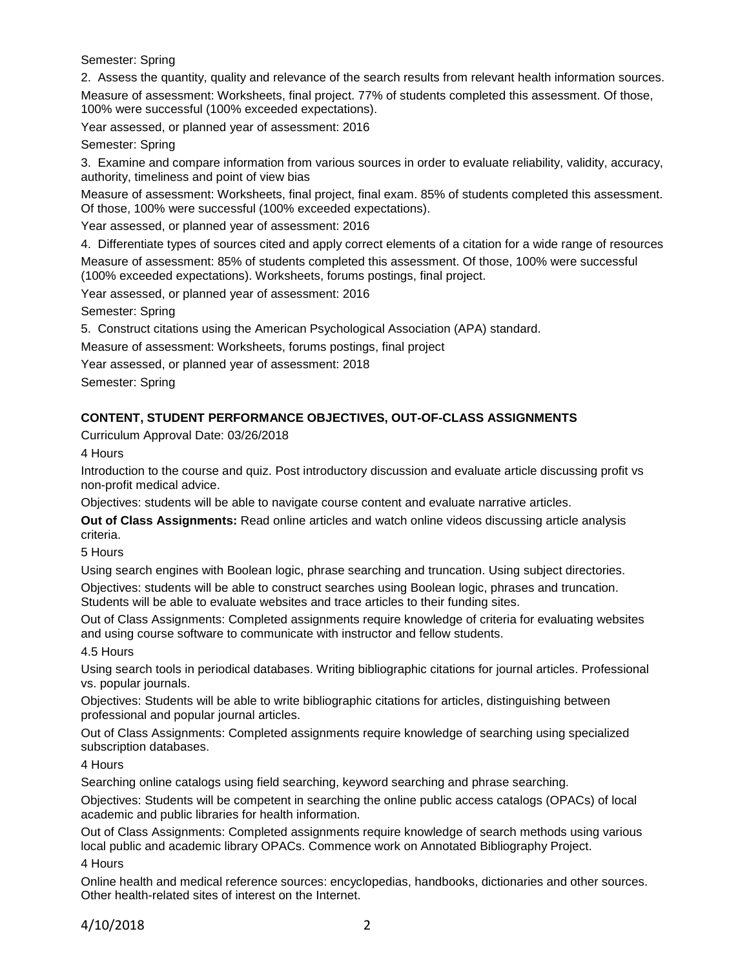Semester: Spring

2. Assess the quantity, quality and relevance of the search results from relevant health information sources.

Measure of assessment: Worksheets, final project. 77% of students completed this assessment. Of those, 100% were successful (100% exceeded expectations).

Year assessed, or planned year of assessment: 2016

Semester: Spring

3. Examine and compare information from various sources in order to evaluate reliability, validity, accuracy, authority, timeliness and point of view bias

Measure of assessment: Worksheets, final project, final exam. 85% of students completed this assessment. Of those, 100% were successful (100% exceeded expectations).

Year assessed, or planned year of assessment: 2016

4. Differentiate types of sources cited and apply correct elements of a citation for a wide range of resources Measure of assessment: 85% of students completed this assessment. Of those, 100% were successful (100% exceeded expectations). Worksheets, forums postings, final project.

Year assessed, or planned year of assessment: 2016

Semester: Spring

5. Construct citations using the American Psychological Association (APA) standard.

Measure of assessment: Worksheets, forums postings, final project

Year assessed, or planned year of assessment: 2018

Semester: Spring

## **CONTENT, STUDENT PERFORMANCE OBJECTIVES, OUT-OF-CLASS ASSIGNMENTS**

Curriculum Approval Date: 03/26/2018

4 Hours

Introduction to the course and quiz. Post introductory discussion and evaluate article discussing profit vs non-profit medical advice.

Objectives: students will be able to navigate course content and evaluate narrative articles.

**Out of Class Assignments:** Read online articles and watch online videos discussing article analysis criteria.

5 Hours

Using search engines with Boolean logic, phrase searching and truncation. Using subject directories.

Objectives: students will be able to construct searches using Boolean logic, phrases and truncation. Students will be able to evaluate websites and trace articles to their funding sites.

Out of Class Assignments: Completed assignments require knowledge of criteria for evaluating websites and using course software to communicate with instructor and fellow students.

4.5 Hours

Using search tools in periodical databases. Writing bibliographic citations for journal articles. Professional vs. popular journals.

Objectives: Students will be able to write bibliographic citations for articles, distinguishing between professional and popular journal articles.

Out of Class Assignments: Completed assignments require knowledge of searching using specialized subscription databases.

4 Hours

Searching online catalogs using field searching, keyword searching and phrase searching.

Objectives: Students will be competent in searching the online public access catalogs (OPACs) of local academic and public libraries for health information.

Out of Class Assignments: Completed assignments require knowledge of search methods using various local public and academic library OPACs. Commence work on Annotated Bibliography Project. 4 Hours

Online health and medical reference sources: encyclopedias, handbooks, dictionaries and other sources. Other health-related sites of interest on the Internet.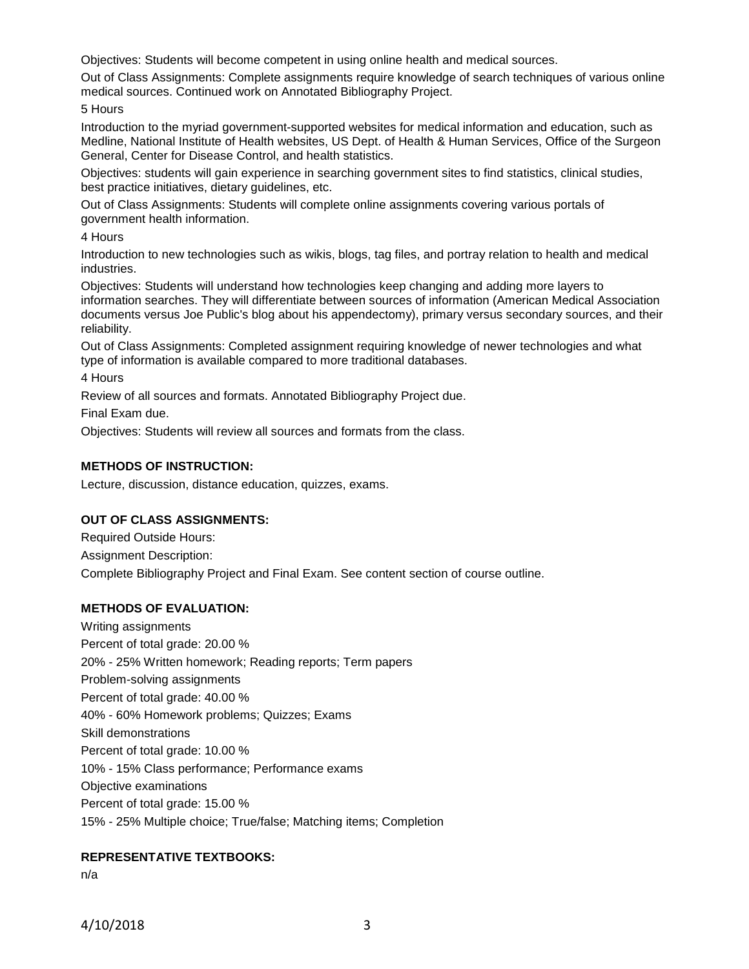Objectives: Students will become competent in using online health and medical sources.

Out of Class Assignments: Complete assignments require knowledge of search techniques of various online medical sources. Continued work on Annotated Bibliography Project.

5 Hours

Introduction to the myriad government-supported websites for medical information and education, such as Medline, National Institute of Health websites, US Dept. of Health & Human Services, Office of the Surgeon General, Center for Disease Control, and health statistics.

Objectives: students will gain experience in searching government sites to find statistics, clinical studies, best practice initiatives, dietary guidelines, etc.

Out of Class Assignments: Students will complete online assignments covering various portals of government health information.

4 Hours

Introduction to new technologies such as wikis, blogs, tag files, and portray relation to health and medical industries.

Objectives: Students will understand how technologies keep changing and adding more layers to information searches. They will differentiate between sources of information (American Medical Association documents versus Joe Public's blog about his appendectomy), primary versus secondary sources, and their reliability.

Out of Class Assignments: Completed assignment requiring knowledge of newer technologies and what type of information is available compared to more traditional databases.

4 Hours

Review of all sources and formats. Annotated Bibliography Project due.

Final Exam due.

Objectives: Students will review all sources and formats from the class.

#### **METHODS OF INSTRUCTION:**

Lecture, discussion, distance education, quizzes, exams.

#### **OUT OF CLASS ASSIGNMENTS:**

Required Outside Hours: Assignment Description: Complete Bibliography Project and Final Exam. See content section of course outline.

#### **METHODS OF EVALUATION:**

Writing assignments Percent of total grade: 20.00 % 20% - 25% Written homework; Reading reports; Term papers Problem-solving assignments Percent of total grade: 40.00 % 40% - 60% Homework problems; Quizzes; Exams Skill demonstrations Percent of total grade: 10.00 % 10% - 15% Class performance; Performance exams Objective examinations Percent of total grade: 15.00 % 15% - 25% Multiple choice; True/false; Matching items; Completion

## **REPRESENTATIVE TEXTBOOKS:**

n/a